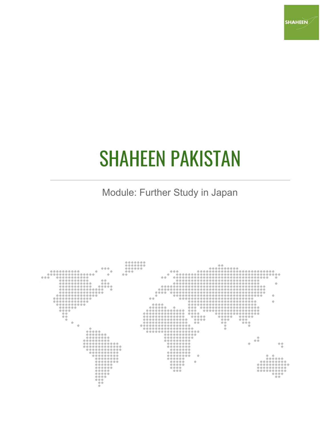

# SHAHEEN PAKISTAN

Module: Further Study in Japan

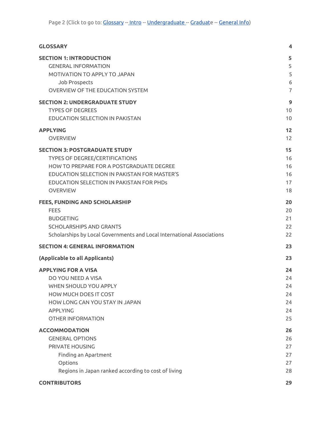| <b>GLOSSARY</b>                                                        | 4              |
|------------------------------------------------------------------------|----------------|
| <b>SECTION 1: INTRODUCTION</b>                                         | 5              |
| <b>GENERAL INFORMATION</b>                                             | 5              |
| MOTIVATION TO APPLY TO JAPAN                                           | 5              |
| Job Prospects                                                          | 6              |
| OVERVIEW OF THE EDUCATION SYSTEM                                       | $\overline{7}$ |
| <b>SECTION 2: UNDERGRADUATE STUDY</b>                                  | 9              |
| <b>TYPES OF DEGREES</b>                                                | 10             |
| EDUCATION SELECTION IN PAKISTAN                                        | 10             |
| <b>APPLYING</b>                                                        | 12             |
| <b>OVERVIEW</b>                                                        | 12             |
| <b>SECTION 3: POSTGRADUATE STUDY</b>                                   | 15             |
| <b>TYPES OF DEGREE/CERTIFICATIONS</b>                                  | 16             |
| HOW TO PREPARE FOR A POSTGRADUATE DEGREE                               | 16             |
| EDUCATION SELECTION IN PAKISTAN FOR MASTER'S                           | 16             |
| EDUCATION SELECTION IN PAKISTAN FOR PHDs                               | 17             |
| <b>OVERVIEW</b>                                                        | 18             |
| <b>FEES, FUNDING AND SCHOLARSHIP</b>                                   | 20             |
| <b>FEES</b>                                                            | 20             |
| <b>BUDGETING</b>                                                       | 21             |
| <b>SCHOLARSHIPS AND GRANTS</b>                                         | 22             |
| Scholarships by Local Governments and Local International Associations | 22             |
| <b>SECTION 4: GENERAL INFORMATION</b>                                  | 23             |
| (Applicable to all Applicants)                                         | 23             |
| <b>APPLYING FOR A VISA</b>                                             | 24             |
| DO YOU NEED A VISA                                                     | 24             |
| WHEN SHOULD YOU APPLY                                                  | 24             |
| <b>HOW MUCH DOES IT COST</b>                                           | 24             |
| HOW LONG CAN YOU STAY IN JAPAN                                         | 24             |
| <b>APPLYING</b>                                                        | 24             |
| <b>OTHER INFORMATION</b>                                               | 25             |
| <b>ACCOMMODATION</b>                                                   | 26             |
| <b>GENERAL OPTIONS</b>                                                 | 26             |
| PRIVATE HOUSING                                                        | 27             |
| Finding an Apartment                                                   | 27             |
| Options                                                                | 27             |
| Regions in Japan ranked according to cost of living                    | 28             |
| <b>CONTRIBUTORS</b>                                                    | 29             |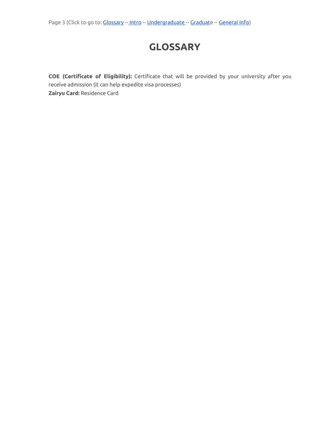# **GLOSSARY**

<span id="page-2-0"></span>**COE (Certificate of Eligibility):** Certificate that will be provided by your university after you receive admission (it can help expedite visa processes) **Zairyu Card:** Residence Card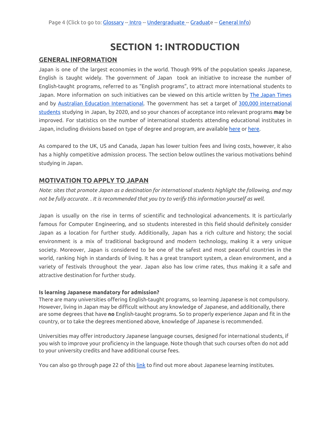# **SECTION 1: INTRODUCTION**

### <span id="page-3-1"></span><span id="page-3-0"></span>**GENERAL INFORMATION**

Japan is one of the largest economies in the world. Though 99% of the population speaks Japanese, English is taught widely. The government of Japan took an initiative to increase the number of English-taught programs, referred to as "English programs", to attract more international students to [Japan](https://www.japantimes.co.jp/news/2018/10/22/national/government-aims-300000-international-students/#.XBIV5NszbIU). More information on such initiatives can be viewed on this article written by The Japan Times and by Australian Education [International.](https://internationaleducation.gov.au/International-network/japan/countryoverview/Documents/2012%20Report%20-%20Internationalisation%20of%20Japanese%20Universities.pdf) The government has set a target of 300,000 [international](https://www.studyjapan.go.jp/en/toj/toj09e.html) [students](https://www.studyjapan.go.jp/en/toj/toj09e.html) studying in Japan, by 2020, and so your chances of acceptance into relevant programs **may** be improved. For statistics on the number of international students attending educational institutes in Japan, including divisions based on type of degree and program, are available [here](http://www.g-studyinjapan.jasso.go.jp/en/modules/pico/index.php?content_id=25) or [here.](https://www.jasso.go.jp/en/about/statistics/intl_student/index.html)

As compared to the UK, US and Canada, Japan has lower tuition fees and living costs, however, it also has a highly competitive admission process. The section below outlines the various motivations behind studying in Japan.

# <span id="page-3-2"></span>**MOTIVATION TO APPLY TO JAPAN**

*Note: sites that promote Japan as a destination for international students highlight the following, and may* not be fully accurate. . It is recommended that you try to verify this information yourself as well.

Japan is usually on the rise in terms of scientific and technological advancements. It is particularly famous for Computer Engineering, and so students interested in this field should definitely consider Japan as a location for further study. Additionally, Japan has a rich culture and history; the social environment is a mix of traditional background and modern technology, making it a very unique society. Moreover, Japan is considered to be one of the safest and most peaceful countries in the world, ranking high in standards of living. It has a great transport system, a clean environment, and a variety of festivals throughout the year. Japan also has low crime rates, thus making it a safe and attractive destination for further study.

### **Is learning Japanese mandatory for admission?**

There are many universities offering English-taught programs, so learning Japanese is not compulsory. However, living in Japan may be difficult without any knowledge of Japanese, and additionally, there are some degrees that have **no** English-taught programs. So to properly experience Japan and fit in the country, or to take the degrees mentioned above, knowledge of Japanese is recommended.

Universities may offer introductory Japanese language courses, designed for international students, if you wish to improve your proficiency in the language. Note though that such courses often do not add to your university credits and have additional course fees.

You can also go through page 22 of this [link](https://www.jasso.go.jp/en/study_j/__icsFiles/afieldfile/2019/05/16/sgtj_2019_e.pdf) to find out more about Japanese learning institutes.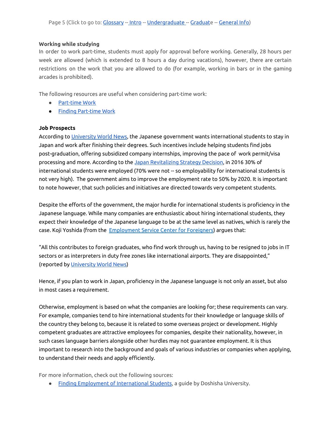### **Working while studying**

In order to work part-time, students must apply for approval before working. Generally, 28 hours per week are allowed (which is extended to 8 hours a day during vacations), however, there are certain restrictions on the work that you are allowed to do (for example, working in bars or in the gaming arcades is prohibited).

The following resources are useful when considering part-time work:

- [Part-time](http://www.g-studyinjapan.jasso.go.jp/en/modules/pico/index.php?content_id=30) Work
- Finding [Part-time](https://www.studyjapan.go.jp/en/inj/inj03e.html) Work

### <span id="page-4-0"></span>**Job Prospects**

According to [University](http://www.universityworldnews.com/article.php?story=20170316184126205) World News, the Japanese government wants international students to stay in Japan and work after finishing their degrees. Such incentives include helping students find jobs post-graduation, offering subsidized company internships, improving the pace of work permit/visa processing and more. According to the Japan [Revitalizing](http://www.meti.go.jp/english/report/data/wp2017/pdf/3-4-3.pdf) Strategy Decision, in 2016 30% of international students were employed (70% were not -- so employability for international students is not very high). The government aims to improve the employment rate to 50% by 2020. It is important to note however, that such policies and initiatives are directed towards very competent students.

Despite the efforts of the government, the major hurdle for international students is proficiency in the Japanese language. While many companies are enthusiastic about hiring international students, they expect their knowledge of the Japanese language to be at the same level as natives, which is rarely the case. Koji Yoshida (from the **[Employment](http://www.jpss.jp/en/life/job/9/) Service Center for Foreigners**) argues that:

"All this contributes to foreign graduates, who find work through us, having to be resigned to jobs in IT sectors or as interpreters in duty free zones like international airports. They are disappointed," (reported by [University](http://www.universityworldnews.com/article.php?story=20170316184126205) World News)

Hence, if you plan to work in Japan, proficiency in the Japanese language is not only an asset, but also in most cases a requirement.

Otherwise, employment is based on what the companies are looking for; these requirements can vary. For example, companies tend to hire international students for their knowledge or language skills of the country they belong to, because it is related to some overseas project or development. Highly competent graduates are attractive employees for companies, despite their nationality, however, in such cases language barriers alongside other hurdles may not guarantee employment. It is thus important to research into the background and goals of various industries or companies when applying, to understand their needs and apply efficiently.

For more information, check out the following sources:

● Finding Employment of [International](https://www.doshisha.ac.jp/en/student_life/support/employment.html) Students, a guide by Doshisha University.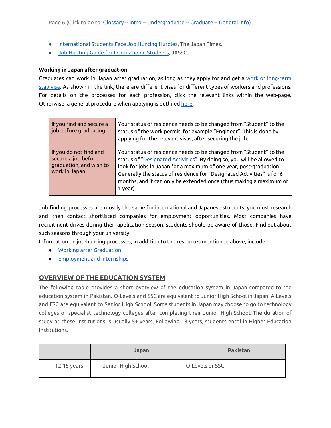- [International](https://www.japantimes.co.jp/news/2015/06/10/national/international-students-face-job-hunting-hurdles-japan/#.XBJgtdszbIX) Students Face Job Hunting Hurdles, The Japan Times.
- Job Hunting Guide for [International](http://www.g-studyinjapan.jasso.go.jp/en/modules/pico/index.php?content_id=48) Students, JASSO.

### **Working in Japan after graduation**

Graduates can work in Japan after graduation, as long as they apply for and get a work or [long-term](https://www.mofa.go.jp/j_info/visit/visa/long/index.html) [stay](https://www.mofa.go.jp/j_info/visit/visa/long/index.html) visa. As shown in the link, there are different visas for different types of workers and professions. For details on the processes for each profession, click the relevant links within the web-page. Otherwise, a general procedure when applying is outlined [here](https://www.mofa.go.jp/j_info/visit/visa/process/long.html).

| If you find and secure a<br>job before graduating                                         | Your status of residence needs to be changed from "Student" to the<br>status of the work permit, for example "Engineer". This is done by<br>applying for the relevant visas, after securing the job.                                                                                                                                                                           |
|-------------------------------------------------------------------------------------------|--------------------------------------------------------------------------------------------------------------------------------------------------------------------------------------------------------------------------------------------------------------------------------------------------------------------------------------------------------------------------------|
| If you do not find and<br>secure a job before<br>graduation, and wish to<br>work in Japan | Your status of residence needs to be changed from "Student" to the<br>status of "Designated Activities". By doing so, you will be allowed to<br>look for jobs in Japan for a maximum of one year, post-graduation.<br>Generally the status of residence for "Designated Activities" is for 6<br>months, and it can only be extended once (thus making a maximum of<br>1 year). |

Job finding processes are mostly the same for international and Japanese students; you must research and then contact shortlisted companies for employment opportunities. Most companies have recruitment drives during their application season, students should be aware of those. Find out about such seasons through your university.

Information on job-hunting processes, in addition to the resources mentioned above, include:

- Working after [Graduation](https://www.studyjapan.go.jp/en/inj/inj04e.html)
- [Employment](http://www.g-studyinjapan.jasso.go.jp/en/modules/pico/index.php?content_id=36) and Internships

### <span id="page-5-0"></span>**OVERVIEW OF THE EDUCATION SYSTEM**

The following table provides a short overview of the education system in Japan compared to the education system in Pakistan. O-Levels and SSC are equivalent to Junior High School in Japan. A-Levels and FSC are equivalent to Senior High School. Some students in Japan may choose to go to technology colleges or specialist technology colleges after completing their Junior High School. The duration of study at these institutions is usually 5+ years. Following 18 years, students enrol in Higher Education Institutions.

|               | <b>Japan</b>       | <b>Pakistan</b> |
|---------------|--------------------|-----------------|
| $12-15$ years | Junior High School | O-Levels or SSC |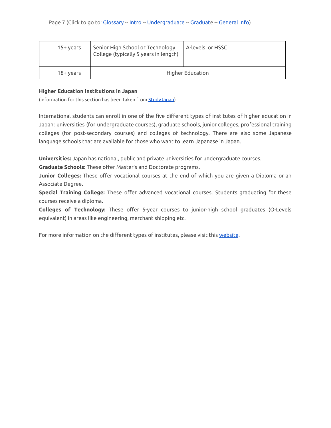| $15+vears$ | Senior High School or Technology<br>College (typically 5 years in length) | A-levels or HSSC |
|------------|---------------------------------------------------------------------------|------------------|
| 18+ years  | Higher Education                                                          |                  |

### **Higher Education Institutions in Japan**

(information for this section has been taken from [StudyJapan](https://www.studyjapan.go.jp/en/toj/toj0201e.html))

International students can enroll in one of the five different types of institutes of higher education in Japan: universities (for undergraduate courses), graduate schools, junior colleges, professional training colleges (for post-secondary courses) and colleges of technology. There are also some Japanese language schools that are available for those who want to learn Japanase in Japan.

**Universities:** Japan has national, public and private universities for undergraduate courses.

**Graduate Schools:** These offer Master's and Doctorate programs.

**Junior Colleges:** These offer vocational courses at the end of which you are given a Diploma or an Associate Degree.

**Special Training College:** These offer advanced vocational courses. Students graduating for these courses receive a diploma.

**Colleges of Technology:** These offer 5-year courses to junior-high school graduates (O-Levels equivalent) in areas like engineering, merchant shipping etc.

For more information on the different types of institutes, please visit this [website](https://www.studyjapan.go.jp/en/toj/toj0201e.html).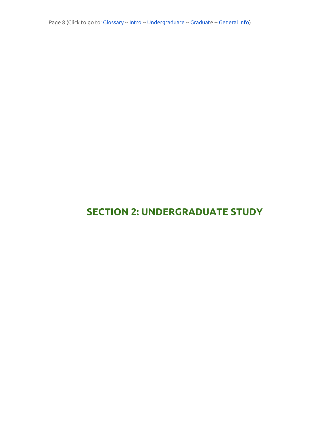Page 8 (Click to go to: [Glossary](#page-2-0) -- [Intro](#page-3-0) -- [Undergraduate](#page-7-0) -- [Graduat](#page-13-0)e -- [General](#page-21-0) Info)

# <span id="page-7-0"></span>**SECTION 2: UNDERGRADUATE STUDY**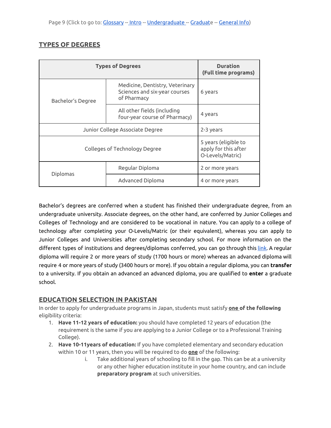# <span id="page-8-0"></span>**TYPES OF DEGREES**

| <b>Types of Degrees</b>         |                                                                                 | <b>Duration</b><br>(Full time programs)                          |
|---------------------------------|---------------------------------------------------------------------------------|------------------------------------------------------------------|
| <b>Bachelor's Degree</b>        | Medicine, Dentistry, Veterinary<br>Sciences and six-year courses<br>of Pharmacy | 6 years                                                          |
|                                 | All other fields (including<br>four-year course of Pharmacy)                    | 4 years                                                          |
| Junior College Associate Degree |                                                                                 | 2-3 years                                                        |
| Colleges of Technology Degree   |                                                                                 | 5 years (eligible to<br>apply for this after<br>O-Levels/Matric) |
|                                 | Regular Diploma                                                                 | 2 or more years                                                  |
| <b>Diplomas</b>                 | Advanced Diploma                                                                | 4 or more years                                                  |

Bachelor's degrees are conferred when a student has finished their undergraduate degree, from an undergraduate university. Associate degrees, on the other hand, are conferred by Junior Colleges and Colleges of Technology and are considered to be vocational in nature. You can apply to a college of technology after completing your O-Levels/Matric (or their equivalent), whereas you can apply to Junior Colleges and Universities after completing secondary school. For more information on the different types of institutions and degrees/diplomas conferred, you can go through this [link.](https://www.studyjapan.go.jp/en/toj/toj0201e.html) A regular diploma will require 2 or more years of study (1700 hours or more) whereas an advanced diploma will require 4 or more years of study (3400 hours or more). If you obtain a regular diploma, you can **transfer** to a university. If you obtain an advanced an advanced diploma, you are qualified to **enter** a graduate school.

# <span id="page-8-1"></span>**EDUCATION SELECTION IN PAKISTAN**

In order to apply for undergraduate programs in Japan, students must satisfy **one of the following** eligibility criteria:

- 1. **Have 11-12 years of education:** you should have completed 12 years of education (the requirement is the same if you are applying to a Junior College or to a Professional Training College).
- 2. **Have 10-11years of education:** If you have completed elementary and secondary education within 10 or 11 years, then you will be required to do **one** of the following:
	- i. Take additional years of schooling to fill in the gap. This can be at a university or any other higher education institute in your home country, and can include **preparatory program** at such universities.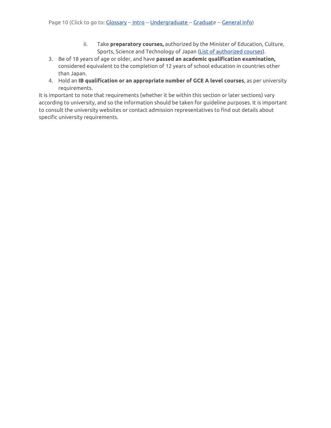- ii. Take **preparatory courses,** authorized by the Minister of Education, Culture, Sports, Science and Technology of Japan (List of [authorized](https://www.jasso.go.jp/en/study_j/search/__icsFiles/afieldfile/2018/02/16/junbi_20180209_1.xlsx) courses).
- 3. Be of 18 years of age or older, and have **passed an academic qualification examination,** considered equivalent to the completion of 12 years of school education in countries other than Japan.
- 4. Hold an **IB qualification or an appropriate number of GCE A level courses**, as per university requirements.

It is important to note that requirements (whether it be within this section or later sections) vary according to university, and so the information should be taken for guideline purposes. It is important to consult the university websites or contact admission representatives to find out details about specific university requirements.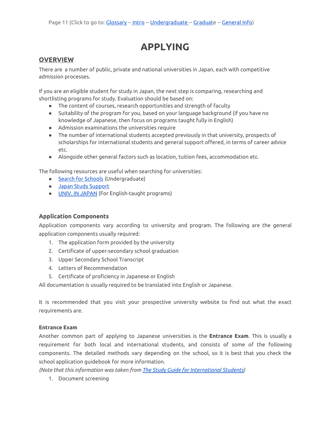# **APPLYING**

# <span id="page-10-1"></span><span id="page-10-0"></span>**OVERVIEW**

There are a number of public, private and national universities in Japan, each with competitive admission processes.

If you are an eligible student for study in Japan, the next step is comparing, researching and shortlisting programs for study. Evaluation should be based on:

- The content of courses, research opportunities and strength of faculty
- Suitability of the program for you, based on your language background (if you have no knowledge of Japanese, then focus on programs taught fully in English)
- Admission examinations the universities require
- The number of international students accepted previously in that university, prospects of scholarships for international students and general support offered, in terms of career advice etc.
- Alongside other general factors such as location, tuition fees, accommodation etc.

The following resources are useful when searching for universities:

- Search for [Schools](https://www.jasso.go.jp/en/study_j/search/daigakukensaku.html) (Undergraduate)
- Japan Study [Support](https://www.jpss.jp/en/)
- UNIV. IN [JAPAN](https://univinjapan.com/undergrad.html) (For English-taught programs)

### **Application Components**

Application components vary according to university and program. The following are the general application components usually required:

- 1. The application form provided by the university
- 2. Certificate of upper-secondary school graduation
- 3. Upper Secondary School Transcript
- 4. Letters of Recommendation
- 5. Certificate of proficiency in Japanese or English

All documentation is usually required to be translated into English or Japanese.

It is recommended that you visit your prospective university website to find out what the exact requirements are.

### **Entrance Exam**

Another common part of applying to Japanese universities is the **Entrance Exam**. This is usually a requirement for both local and international students, and consists of some of the following components. The detailed methods vary depending on the school, so it is best that you check the school application guidebook for more information.

*(Note that this information was taken from The Study Guide for [International](https://www.jasso.go.jp/en/study_j/__icsFiles/afieldfile/2018/06/28/sgtj_2018_e.pdf) Students)*

1. Document screening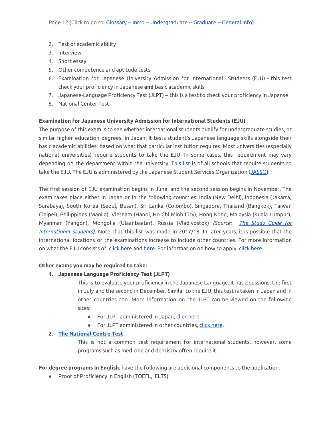- 2. Test of academic ability
- 3. Interview
- 4. Short essay
- 5. Other competence and aptitude tests
- 6. Examination for Japanese University Admission for International Students (EJU) this test check your proficiency in Japanese **and** basic academic skills
- 7. Japanese-Language Proficiency Test (JLPT) -- this is a test to check your proficiency in Japanse
- 8. National Center Test

### **Examination for Japanese University Admission for International Students (EJU)**

The purpose of this exam is to see whether international students qualify for undergraduate studies, or similar higher education degrees, in Japan. It tests student's Japanese language skills alongside their basic academic abilities, based on what that particular institution requires. Most universities (especially national universities) require students to take the EJU. In some cases, this requirement may vary depending on the department within the university. [This](https://www.jasso.go.jp/en/eju/examinee/use/index.html) list is of all schools that require students to take the EJU. The EJU is administered by the Japanese Student Services Organization ([JASSO\)](https://www.jasso.go.jp/en/).

The first session of EJU examination begins in June, and the second session begins in November. The exam takes place either in Japan or in the following countries: India (New Delhi), Indonesia (Jakarta, Surabaya), South Korea (Seoul, Busan), Sri Lanka (Colombo), Singapore, Thailand (Bangkok), Taiwan (Taipei), Philippines (Manila), Vietnam (Hanoi, Ho Chi Minh City), Hong Kong, Malaysia (Kuala Lumpur), Myanmar (Yangon), Mongolia (Ulaanbaatar), Russia (Vladivostok) *(Source: The Study [Guide](https://www.jasso.go.jp/en/study_j/__icsFiles/afieldfile/2018/06/28/sgtj_2018_e.pdf) for [International](https://www.jasso.go.jp/en/study_j/__icsFiles/afieldfile/2018/06/28/sgtj_2018_e.pdf) Students).* Note that this list was made in 2017/18. In later years, it is possible that the international locations of the examinations increase to include other countries. For more information on what the EJU consists of, click [here](https://www.jasso.go.jp/en/eju/examinee/procedure/application.html) and here. For information on how to apply, click here.

### **Other exams you may be required to take:**

### **1. Japanese Language Proficiency Test (JLPT)**

This is to evaluate your proficiency in the Japanese Language. It has 2 sessions, the first in July and the second in December. Similar to the EJU, this test is taken in Japan and in other countries too. More information on the JLPT can be viewed on the following sites:

- For JLPT administered in Japan, click [here](http://info.jees-jlpt.jp/#).
- For JLPT administered in other countries, click [here.](https://www.jasso.go.jp/en/eju/examinee/contact/index.html)

### **2. The [National](https://www.dnc.ac.jp/albums/abm.php?f=abm00033081.pdf&n=2017%E8%A6%81%E8%A6%A7%E8%8B%B1%E8%AA%9E_Web_2.pdf) Centre Test**

This is not a common test requirement for international students, however, some programs such as medicine and dentistry often require it.

**For degree programs in English**, have the following are additional components to the application:

● Proof of Proficiency in English (TOEFL, IELTS)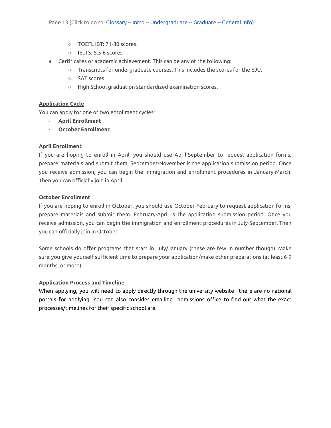- TOEFL iBT: 71-80 scores.
- IELTS: 5.5-6 scores
- Certificates of academic achievement. This can be any of the following:
	- Transcripts for undergraduate courses. This includes the scores for the EJU.
	- SAT scores.
	- High School graduation standardized examination scores.

### **Application Cycle**

You can apply for one of two enrollment cycles:

- **- April Enrollment**
- **October Enrollment**

### **April Enrollment**

If you are hoping to enroll in April, you should use April-September to request application forms, prepare materials and submit them. September-November is the application submission period. Once you receive admission, you can begin the immigration and enrollment procedures in January-March. Then you can officially join in April.

### **October Enrollment**

If you are hoping to enroll in October, you should use October-February to request application forms, prepare materials and submit them. February-April is the application submission period. Once you receive admission, you can begin the immigration and enrollment procedures in July-September. Then you can officially join in October.

Some schools do offer programs that start in July/January (these are few in number though). Make sure you give yourself sufficient time to prepare your application/make other preparations (at least 6-9 months, or more).

### **Application Process and Timeline**

When applying, you will need to apply directly through the university website - there are no national portals for applying. You can also consider emailing admissions office to find out what the exact processes/timelines for their specific school are.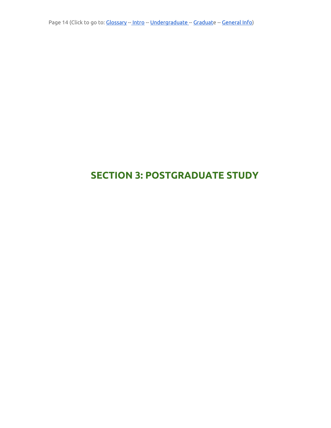Page 14 (Click to go to: [Glossary](#page-2-0) -- [Intro](#page-3-0) -- [Undergraduate](#page-7-0) -- [Graduat](#page-13-0)e -- [General](#page-21-0) Info)

# <span id="page-13-0"></span>**SECTION 3: POSTGRADUATE STUDY**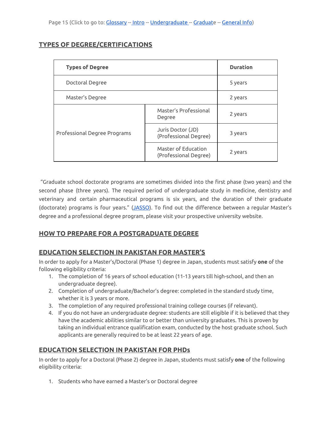# <span id="page-14-0"></span>**TYPES OF DEGREE/CERTIFICATIONS**

| <b>Types of Degree</b>       |                                              | <b>Duration</b> |
|------------------------------|----------------------------------------------|-----------------|
| Doctoral Degree              |                                              | 5 years         |
| Master's Degree              |                                              | 2 years         |
| Professional Degree Programs | Master's Professional<br>Degree              | 2 years         |
|                              | Juris Doctor (JD)<br>(Professional Degree)   | 3 years         |
|                              | Master of Education<br>(Professional Degree) | 2 years         |

"Graduate school doctorate programs are sometimes divided into the first phase (two years) and the second phase (three years). The required period of undergraduate study in medicine, dentistry and veterinary and certain pharmaceutical programs is six years, and the duration of their graduate (doctorate) programs is four years." ([JASSO\)](https://www.jasso.go.jp/en/study_j/__icsFiles/afieldfile/2019/05/16/sgtj_2019_e.pdf). To find out the difference between a regular Master's degree and a professional degree program, please visit your prospective university website.

# <span id="page-14-1"></span>**HOW TO PREPARE FOR A POSTGRADUATE DEGREE**

# <span id="page-14-2"></span>**EDUCATION SELECTION IN PAKISTAN FOR MASTER'S**

In order to apply for a Master's/Doctoral (Phase 1) degree in Japan, students must satisfy **one** of the following eligibility criteria:

- 1. The completion of 16 years of school education (11-13 years till high-school, and then an undergraduate degree).
- 2. Completion of undergraduate/Bachelor's degree: completed in the standard study time, whether it is 3 years or more.
- 3. The completion of any required professional training college courses (if relevant).
- 4. If you do not have an undergraduate degree: students are still eligible if it is believed that they have the academic abilities similar to or better than university graduates. This is proven by taking an individual entrance qualification exam, conducted by the host graduate school. Such applicants are generally required to be at least 22 years of age.

# <span id="page-14-3"></span>**EDUCATION SELECTION IN PAKISTAN FOR PHDs**

In order to apply for a Doctoral (Phase 2) degree in Japan, students must satisfy **one** of the following eligibility criteria:

1. Students who have earned a Master's or Doctoral degree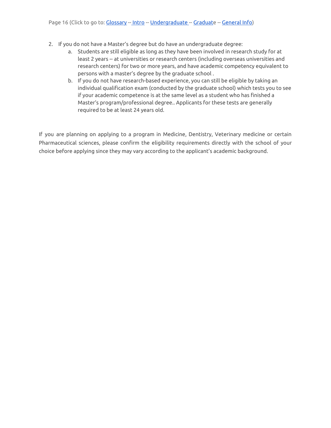- 2. If you do not have a Master's degree but do have an undergraduate degree:
	- a. Students are still eligible as long as they have been involved in research study for at least 2 years -- at universities or research centers (including overseas universities and research centers) for two or more years, and have academic competency equivalent to persons with a master's degree by the graduate school .
	- b. If you do not have research-based experience, you can still be eligible by taking an individual qualification exam (conducted by the graduate school) which tests you to see if your academic competence is at the same level as a student who has finished a Master's program/professional degree.. Applicants for these tests are generally required to be at least 24 years old.

If you are planning on applying to a program in Medicine, Dentistry, Veterinary medicine or certain Pharmaceutical sciences, please confirm the eligibility requirements directly with the school of your choice before applying since they may vary according to the applicant's academic background.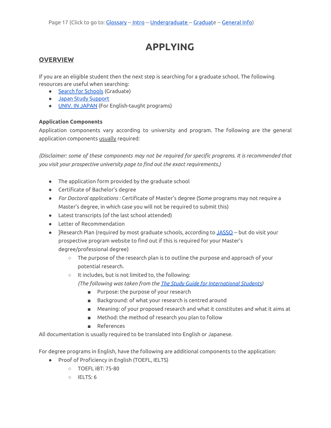# **APPLYING**

### <span id="page-16-0"></span>**OVERVIEW**

If you are an eligible student then the next step is searching for a graduate school. The following resources are useful when searching:

- Search for [Schools](https://www.jasso.go.jp/en/study_j/search/daigakukensaku.html) (Graduate)
- Japan Study [Support](https://www.jpss.jp/en/)
- UNIV. IN [JAPAN](https://univinjapan.com/postgrad.html) (For English-taught programs)

### **Application Components**

Application components vary according to university and program. The following are the general application components usually required:

*(Disclaimer: some of these components may not be required for specific programs. It is recommended that you visit your prospective university page to find out the exact requirements.)*

- The application form provided by the graduate school
- Certificate of Bachelor's degree
- *For Doctoral applications :* Certificate of Master's degree (Some programs may not require a Master's degree, in which case you will not be required to submit this)
- Latest transcripts (of the last school attended)
- Letter of Recommendation
- ]Research Plan (required by most graduate schools, according to [JASSO](https://www.jasso.go.jp/en/study_j/__icsFiles/afieldfile/2019/05/16/sgtj_2019_e.pdf) -- but do visit your prospective program website to find out if this is required for your Master's degree/professional degree)
	- The purpose of the research plan is to outline the purpose and approach of your potential research.
	- It includes, but is not limited to, the following: *(The following was taken from the The Study Guide for [International](https://www.jasso.go.jp/en/study_j/__icsFiles/afieldfile/2018/06/28/sgtj_2018_e.pdf) Students)*
		- Purpose: the purpose of your research
		- Background: of what your research is centred around
		- Meaning: of your proposed research and what it constitutes and what it aims at
		- Method: the method of research you plan to follow
		- References

All documentation is usually required to be translated into English or Japanese.

For degree programs in English, have the following are additional components to the application:

- Proof of Proficiency in English (TOEFL, IELTS)
	- TOEFL iBT: 75-80
	- IELTS: 6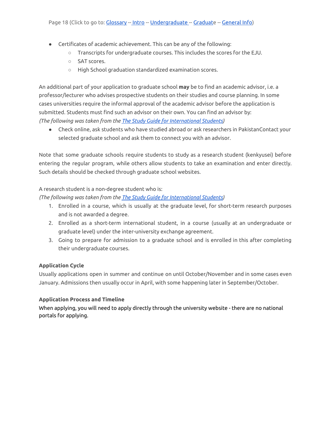- Certificates of academic achievement. This can be any of the following:
	- Transcripts for undergraduate courses. This includes the scores for the EJU.
	- SAT scores.
	- High School graduation standardized examination scores.

An additional part of your application to graduate school **may** be to find an academic advisor, i.e. a professor/lecturer who advises prospective students on their studies and course planning. In some cases universities require the informal approval of the academic advisor before the application is submitted. Students must find such an advisor on their own. You can find an advisor by: *(The following was taken from the The Study Guide for [International](https://www.jasso.go.jp/en/study_j/__icsFiles/afieldfile/2018/06/28/sgtj_2018_e.pdf) Students)*

● Check online, ask students who have studied abroad or ask researchers in PakistanContact your selected graduate school and ask them to connect you with an advisor.

Note that some graduate schools require students to study as a research student (kenkyusei) before entering the regular program, while others allow students to take an examination and enter directly. Such details should be checked through graduate school websites.

### A research student is a non-degree student who is:

*(The following was taken from the The Study Guide for [International](https://www.jasso.go.jp/en/study_j/__icsFiles/afieldfile/2018/06/28/sgtj_2018_e.pdf) Students)*

- 1. Enrolled in a course, which is usually at the graduate level, for short-term research purposes and is not awarded a degree.
- 2. Enrolled as a short-term international student, in a course (usually at an undergraduate or graduate level) under the inter-university exchange agreement.
- 3. Going to prepare for admission to a graduate school and is enrolled in this after completing their undergraduate courses.

### **Application Cycle**

Usually applications open in summer and continue on until October/November and in some cases even January. Admissions then usually occur in April, with some happening later in September/October.

### **Application Process and Timeline**

When applying, you will need to apply directly through the university website - there are no national portals for applying.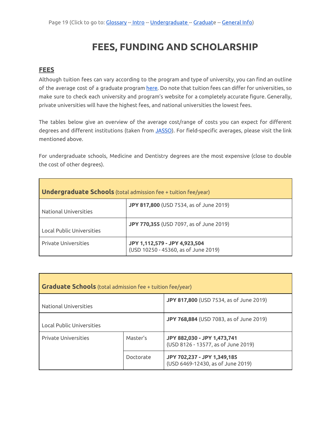# **FEES, FUNDING AND SCHOLARSHIP**

### <span id="page-18-1"></span><span id="page-18-0"></span>**FEES**

Although tuition fees can vary according to the program and type of university, you can find an outline of the average cost of a graduate program [here.](http://www.g-studyinjapan.jasso.go.jp/en/modules/pico/index.php?content_id=17) Do note that tuition fees can differ for universities, so make sure to check each university and program's website for a completely accurate figure. Generally, private universities will have the highest fees, and national universities the lowest fees.

The tables below give an overview of the average cost/range of costs you can expect for different degrees and different institutions (taken from [JASSO\)](http://www.g-studyinjapan.jasso.go.jp/en/modules/pico/index.php?content_id=17). For field-specific averages, please visit the link mentioned above.

For undergraduate schools, Medicine and Dentistry degrees are the most expensive (close to double the cost of other degrees).

| <b>Undergraduate Schools</b> (total admission fee + tuition fee/year) |                                                                       |  |
|-----------------------------------------------------------------------|-----------------------------------------------------------------------|--|
| National Universities                                                 | JPY 817,800 (USD 7534, as of June 2019)                               |  |
| <b>Local Public Universities</b>                                      | <b>JPY 770,355</b> (USD 7097, as of June 2019)                        |  |
| <b>Private Universities</b>                                           | JPY 1,112,579 - JPY 4,923,504<br>(USD 10250 - 45360, as of June 2019) |  |

| <b>Graduate Schools</b> (total admission fee + tuition fee/year) |           |                                                                    |  |
|------------------------------------------------------------------|-----------|--------------------------------------------------------------------|--|
| National Universities                                            |           | JPY 817,800 (USD 7534, as of June 2019)                            |  |
| Local Public Universities                                        |           | JPY 768,884 (USD 7083, as of June 2019)                            |  |
| <b>Private Universities</b>                                      | Master's  | JPY 882,030 - JPY 1,473,741<br>(USD 8126 - 13577, as of June 2019) |  |
|                                                                  | Doctorate | JPY 702,237 - JPY 1,349,185<br>(USD 6469-12430, as of June 2019)   |  |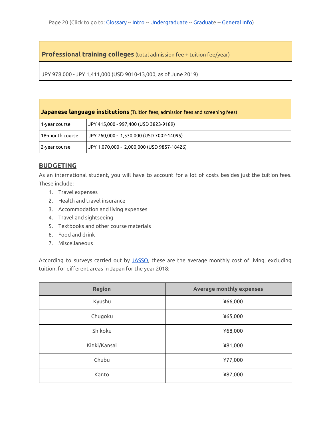**Professional training colleges** (total admission fee + tuition fee/year)

JPY 978,000 - JPY 1,411,000 (USD 9010-13,000, as of June 2019)

| <b>Japanese language institutions</b> (Tuition fees, admission fees and screening fees) |                                            |  |
|-----------------------------------------------------------------------------------------|--------------------------------------------|--|
| 1-year course                                                                           | JPY 415,000 - 997,400 (USD 3823-9189)      |  |
| 18-month course                                                                         | JPY 760,000 - 1,530,000 (USD 7002-14095)   |  |
| 2-year course                                                                           | JPY 1,070,000 - 2,000,000 (USD 9857-18426) |  |

# <span id="page-19-0"></span>**BUDGETING**

As an international student, you will have to account for a lot of costs besides just the tuition fees. These include:

- 1. Travel expenses
- 2. Health and travel insurance
- 3. Accommodation and living expenses
- 4. Travel and sightseeing
- 5. Textbooks and other course materials
- 6. Food and drink
- 7. Miscellaneous

According to surveys carried out by [JASSO](https://www.jasso.go.jp/en/), these are the average monthly cost of living, excluding tuition, for different areas in Japan for the year 2018:

| <b>Region</b> | <b>Average monthly expenses</b> |
|---------------|---------------------------------|
| Kyushu        | ¥66,000                         |
| Chugoku       | ¥65,000                         |
| Shikoku       | ¥68,000                         |
| Kinki/Kansai  | ¥81,000                         |
| Chubu         | ¥77,000                         |
| Kanto         | ¥87,000                         |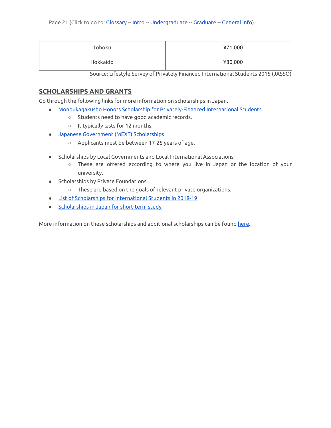| Tohoku   | ¥71,000 |
|----------|---------|
| Hokkaido | ¥80,000 |

Source: Lifestyle Survey of Privately Financed International Students 2015 (JASSO)

# <span id="page-20-0"></span>**SCHOLARSHIPS AND GRANTS**

Go through the following links for more information on scholarships in Japan.

- Monbukagakusho Honors Scholarship for [Privately-Financed](https://www.jasso.go.jp/en/study_j/scholarships/shoureihi/index.html) International Students
	- Students need to have good academic records.
	- It typically lasts for 12 months.
- Japanese [Government](https://www.studyjapan.go.jp/en/toj/toj0302e.html) (MEXT) Scholarships
	- Applicants must be between 17-25 years of age.
- <span id="page-20-1"></span>**●** Scholarships by Local Governments and Local International Associations
	- These are offered according to where you live in Japan or the location of your university.
- Scholarships by Private Foundations
	- These are based on the goals of relevant private organizations.
- List of Scholarships for [International](https://www.jasso.go.jp/en/study_j/scholarships/__icsFiles/afieldfile/2018/06/26/scholarships_2018_e.pdf) Students in 2018-19
- [Scholarships](https://www.jasso.go.jp/en/study_j/scholarships/short_term.html) in Japan for short-term study

More information on these scholarships and additional scholarships can be found [here.](https://www.jasso.go.jp/en/study_j/scholarships/__icsFiles/afieldfile/2018/06/26/scholarships_2018_e.pdf)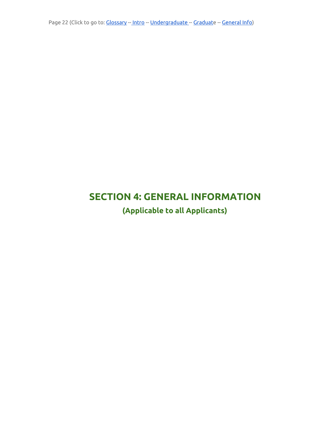# <span id="page-21-1"></span><span id="page-21-0"></span>**SECTION 4: GENERAL INFORMATION**

**(Applicable to all Applicants)**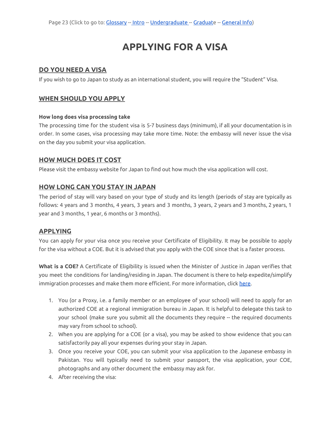# **APPLYING FOR A VISA**

### <span id="page-22-1"></span><span id="page-22-0"></span>**DO YOU NEED A VISA**

If you wish to go to Japan to study as an international student, you will require the "Student" Visa.

### <span id="page-22-2"></span>**WHEN SHOULD YOU APPLY**

#### **How long does visa processing take**

The processing time for the student visa is 5-7 business days (minimum), if all your documentation is in order. In some cases, visa processing may take more time. Note: the embassy will never issue the visa on the day you submit your visa application.

### <span id="page-22-3"></span>**HOW MUCH DOES IT COST**

Please visit the embassy website for Japan to find out how much the visa application will cost.

# <span id="page-22-4"></span>**HOW LONG CAN YOU STAY IN JAPAN**

The period of stay will vary based on your type of study and its length (periods of stay are typically as follows: 4 years and 3 months, 4 years, 3 years and 3 months, 3 years, 2 years and 3 months, 2 years, 1 year and 3 months, 1 year, 6 months or 3 months).

### <span id="page-22-5"></span>**APPLYING**

You can apply for your visa once you receive your Certificate of Eligibility. It may be possible to apply for the visa without a COE. But it is advised that you apply with the COE since that is a faster process.

**What is a COE?** A Certificate of Eligibility is issued when the Minister of Justice in Japan verifies that you meet the conditions for landing/residing in Japan. The document is there to help expedite/simplify immigration processes and make them more efficient. For more information, click [here.](http://www.immi-moj.go.jp/english/tetuduki/kanri/visa.html)

- 1. You (or a Proxy, i.e. a family member or an employee of your school) will need to apply for an authorized COE at a regional immigration bureau in Japan. It is helpful to delegate this task to your school (make sure you submit all the documents they require -- the required documents may vary from school to school).
- 2. When you are applying for a COE (or a visa), you may be asked to show evidence that you can satisfactorily pay all your expenses during your stay in Japan.
- 3. Once you receive your COE, you can submit your visa application to the Japanese embassy in Pakistan. You will typically need to submit your passport, the visa application, your COE, photographs and any other document the embassy may ask for.
- 4. After receiving the visa: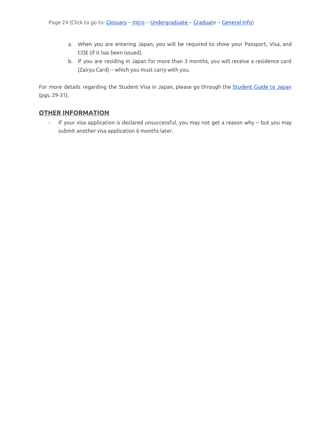- a. When you are entering Japan, you will be required to show your Passport, Visa, and COE (if it has been issued).
- b. If you are residing in Japan for more than 3 months, you will receive a residence card (Zairyu Card) -- which you must carry with you.

For more details regarding the [Student](https://www.jasso.go.jp/en/study_j/__icsFiles/afieldfile/2019/05/16/sgtj_2019_e.pdf) Visa in Japan, please go through the **Student Guide to Japan** (pgs. 29-31).

### <span id="page-23-0"></span>**OTHER INFORMATION**

- If your visa application is declared unsuccessful, you may not get a reason why -- but you may submit another visa application 6 months later.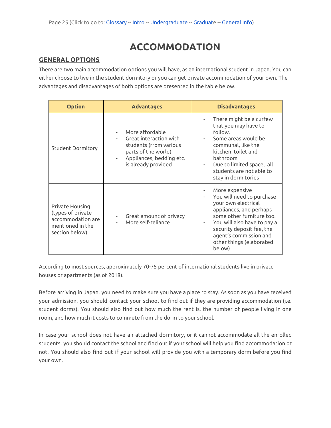# **ACCOMMODATION**

### <span id="page-24-1"></span><span id="page-24-0"></span>**GENERAL OPTIONS**

There are two main accommodation options you will have, as an international student in Japan. You can either choose to live in the student dormitory or you can get private accommodation of your own. The advantages and disadvantages of both options are presented in the table below.

| <b>Option</b>                                                                                   | <b>Advantages</b>                                                                                                                             | <b>Disadvantages</b>                                                                                                                                                                                                                                   |
|-------------------------------------------------------------------------------------------------|-----------------------------------------------------------------------------------------------------------------------------------------------|--------------------------------------------------------------------------------------------------------------------------------------------------------------------------------------------------------------------------------------------------------|
| <b>Student Dormitory</b>                                                                        | More affordable<br>Great interaction with<br>students (from various<br>parts of the world)<br>Appliances, bedding etc.<br>is already provided | There might be a curfew<br>that you may have to<br>follow.<br>Some areas would be<br>communal, like the<br>kitchen, toilet and<br>bathroom<br>Due to limited space, all<br>students are not able to<br>stay in dormitories                             |
| Private Housing<br>(types of private<br>accommodation are<br>mentioned in the<br>section below) | Great amount of privacy<br>$\overline{\phantom{a}}$<br>More self-reliance                                                                     | More expensive<br>You will need to purchase<br>your own electrical<br>appliances, and perhaps<br>some other furniture too.<br>You will also have to pay a<br>security deposit fee, the<br>agent's commission and<br>other things (elaborated<br>below) |

According to most sources, approximately 70-75 percent of international students live in private houses or apartments (as of 2018).

Before arriving in Japan, you need to make sure you have a place to stay. As soon as you have received your admission, you should contact your school to find out if they are providing accommodation (i.e. student dorms). You should also find out how much the rent is, the number of people living in one room, and how much it costs to commute from the dorm to your school.

In case your school does not have an attached dormitory, or it cannot accommodate all the enrolled students, you should contact the school and find out if your school will help you find accommodation or not. You should also find out if your school will provide you with a temporary dorm before you find your own.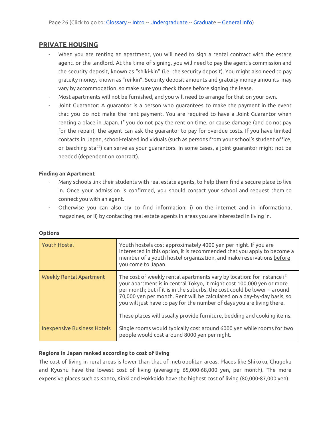### <span id="page-25-0"></span>**PRIVATE HOUSING**

- When you are renting an apartment, you will need to sign a rental contract with the estate agent, or the landlord. At the time of signing, you will need to pay the agent's commission and the security deposit, known as "shiki-kin" (i.e. the security deposit). You might also need to pay gratuity money, known as "rei-kin". Security deposit amounts and gratuity money amounts may vary by accommodation, so make sure you check those before signing the lease.
- Most apartments will not be furnished, and you will need to arrange for that on your own.
- Joint Guarantor: A guarantor is a person who guarantees to make the payment in the event that you do not make the rent payment. You are required to have a Joint Guarantor when renting a place in Japan. If you do not pay the rent on time, or cause damage (and do not pay for the repair), the agent can ask the guarantor to pay for overdue costs. If you have limited contacts in Japan, school-related individuals (such as persons from your school's student office, or teaching staff) can serve as your guarantors. In some cases, a joint guarantor might not be needed (dependent on contract).

### <span id="page-25-1"></span>**Finding an Apartment**

- Many schools link their students with real estate agents, to help them find a secure place to live in. Once your admission is confirmed, you should contact your school and request them to connect you with an agent.
- Otherwise you can also try to find information: i) on the internet and in informational magazines, or ii) by contacting real estate agents in areas you are interested in living in.

| <b>Youth Hostel</b>                | Youth hostels cost approximately 4000 yen per night. If you are<br>interested in this option, it is recommended that you apply to become a<br>member of a youth hostel organization, and make reservations before<br>you come to Japan.                                                                                                                                                                                                                      |
|------------------------------------|--------------------------------------------------------------------------------------------------------------------------------------------------------------------------------------------------------------------------------------------------------------------------------------------------------------------------------------------------------------------------------------------------------------------------------------------------------------|
| <b>Weekly Rental Apartment</b>     | The cost of weekly rental apartments vary by location: for instance if<br>your apartment is in central Tokyo, it might cost 100,000 yen or more<br>per month; but if it is in the suburbs, the cost could be lower -- around<br>70,000 yen per month. Rent will be calculated on a day-by-day basis, so<br>you will just have to pay for the number of days you are living there.<br>These places will usually provide furniture, bedding and cooking items. |
| <b>Inexpensive Business Hotels</b> | Single rooms would typically cost around 6000 yen while rooms for two<br>people would cost around 8000 yen per night.                                                                                                                                                                                                                                                                                                                                        |

### <span id="page-25-2"></span>**Options**

### <span id="page-25-3"></span>**Regions in Japan ranked according to cost of living**

The cost of living in rural areas is lower than that of metropolitan areas. Places like Shikoku, Chugoku and Kyushu have the lowest cost of living (averaging 65,000-68,000 yen, per month). The more expensive places such as Kanto, Kinki and Hokkaido have the highest cost of living (80,000-87,000 yen).